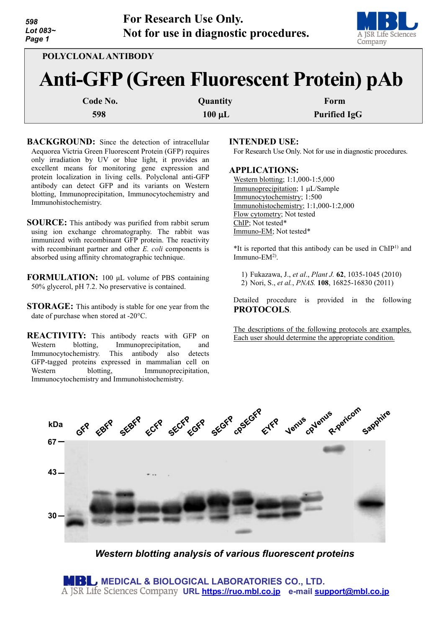| 598<br>Lot 083~<br>Page 1                                              | <b>For Research Use Only.</b><br>Not for use in diagnostic procedures. | A JSR Life Sciences<br>Company |
|------------------------------------------------------------------------|------------------------------------------------------------------------|--------------------------------|
| POLYCLONAL ANTIBODY<br><b>Anti-GFP (Green Fluorescent Protein) pAb</b> |                                                                        |                                |
| Code No.<br>598                                                        | Quantity<br>$100 \mu L$                                                | Form<br><b>Purified IgG</b>    |

- **BACKGROUND:** Since the detection of intracellular Aequorea Victria Green Fluorescent Protein (GFP) requires only irradiation by UV or blue light, it provides an excellent means for monitoring gene expression and protein localization in living cells. Polyclonal anti-GFP antibody can detect GFP and its variants on Western blotting, Immunoprecipitation, Immunocytochemistry and Immunohistochemistry.
- **SOURCE:** This antibody was purified from rabbit serum using ion exchange chromatography. The rabbit was immunized with recombinant GFP protein. The reactivity with recombinant partner and other *E. coli* components is absorbed using affinity chromatographic technique.
- **FORMULATION:** 100 μL volume of PBS containing 50% glycerol, pH 7.2. No preservative is contained.
- **STORAGE:** This antibody is stable for one year from the date of purchase when stored at -20°C.
- **REACTIVITY:** This antibody reacts with GFP on Western blotting, Immunoprecipitation, and Immunocytochemistry. This antibody also detects GFP-tagged proteins expressed in mammalian cell on Western blotting, Immunoprecipitation, Immunocytochemistry and Immunohistochemistry.

#### **INTENDED USE:**

For Research Use Only. Not for use in diagnostic procedures.

#### **APPLICATIONS:**

Western blotting; 1:1,000-1:5,000 Immunoprecipitation; 1 µL/Sample Immunocytochemistry; 1:500 Immunohistochemistry; 1:1,000-1:2,000 Flow cytometry; Not tested ChIP; Not tested\* Immuno-EM; Not tested\*

 $*$ It is reported that this antibody can be used in ChIP<sup>1)</sup> and Immuno- $EM<sup>2</sup>$ .

1) Fukazawa, J., *et al*., *Plant J.* **62**, 1035-1045 (2010) 2) Nori, S., *et al.*, *PNAS.* **108**, 16825-16830 (2011)

Detailed procedure is provided in the following **PROTOCOLS**.

The descriptions of the following protocols are examples. Each user should determine the appropriate condition.



*Western blotting analysis of various fluorescent proteins*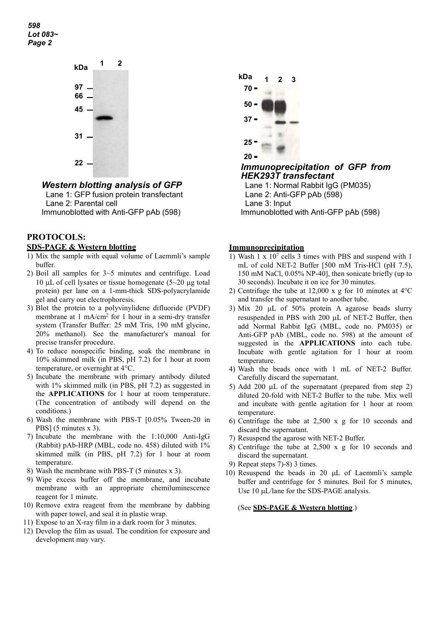*598 Lot 083~ Page 2*



*Western blotting analysis of GFP*

Lane 1: GFP fusion protein transfectant Lane 2: Parental cell Immunoblotted with Anti-GFP pAb (598)

# **PROTOCOLS:**

#### **SDS-PAGE & Western blotting**

- 1) Mix the sample with equal volume of Laemmli's sample buffer.
- 2) Boil all samples for 3~5 minutes and centrifuge. Load 10  $\mu$ L of cell lysates or tissue homogenate (5~20  $\mu$ g total protein) per lane on a 1-mm-thick SDS-polyacrylamide gel and carry out electrophoresis.
- 3) Blot the protein to a polyvinylidene difluoride (PVDF) membrane at 1 mA/cm<sup>2</sup> for 1 hour in a semi-dry transfer system (Transfer Buffer: 25 mM Tris, 190 mM glycine, 20% methanol). See the manufacturer's manual for precise transfer procedure.
- 4) To reduce nonspecific binding, soak the membrane in 10% skimmed milk (in PBS, pH 7.2) for 1 hour at room temperature, or overnight at 4°C.
- 5) Incubate the membrane with primary antibody diluted with 1% skimmed milk (in PBS, pH 7.2) as suggested in the **APPLICATIONS** for 1 hour at room temperature. (The concentration of antibody will depend on the conditions.)
- 6) Wash the membrane with PBS-T [0.05% Tween-20 in PBS] (5 minutes x 3).
- 7) Incubate the membrane with the 1:10,000 Anti-IgG (Rabbit) pAb-HRP (MBL, code no. 458) diluted with 1% skimmed milk (in PBS, pH 7.2) for 1 hour at room temperature.
- 8) Wash the membrane with PBS-T (5 minutes x 3).
- 9) Wipe excess buffer off the membrane, and incubate membrane with an appropriate chemiluminescence reagent for 1 minute.
- 10) Remove extra reagent from the membrane by dabbing with paper towel, and seal it in plastic wrap.
- 11) Expose to an X-ray film in a dark room for 3 minutes.
- 12) Develop the film as usual. The condition for exposure and development may vary.



*Immunoprecipitation of GFP from HEK293T transfectant*

Lane 1: Normal Rabbit IgG (PM035) Lane 2: Anti-GFP pAb (598) Lane 3: Input Immunoblotted with Anti-GFP pAb (598)

### **Immunoprecipitation**

- 1) Wash  $1 \times 10^7$  cells 3 times with PBS and suspend with 1 mL of cold NET-2 Buffer [500 mM Tris-HCl (pH 7.5), 150 mM NaCl, 0.05% NP-40], then sonicate briefly (up to 30 seconds). Incubate it on ice for 30 minutes.
- 2) Centrifuge the tube at 12,000 x g for 10 minutes at  $4^{\circ}$ C and transfer the supernatant to another tube.
- 3) Mix 20 µL of 50% protein A agarose beads slurry resuspended in PBS with 200 µL of NET-2 Buffer, then add Normal Rabbit IgG (MBL, code no. PM035) or Anti-GFP pAb (MBL, code no. 598) at the amount of suggested in the **APPLICATIONS** into each tube. Incubate with gentle agitation for 1 hour at room temperature.
- 4) Wash the beads once with 1 mL of NET-2 Buffer. Carefully discard the supernatant.
- 5) Add 200 µL of the supernatant (prepared from step 2) diluted 20-fold with NET-2 Buffer to the tube. Mix well and incubate with gentle agitation for 1 hour at room temperature.
- 6) Centrifuge the tube at 2,500 x g for 10 seconds and discard the supernatant.
- 7) Resuspend the agarose with NET-2 Buffer.
- 8) Centrifuge the tube at 2,500 x g for 10 seconds and discard the supernatant.
- 9) Repeat steps 7)-8) 3 times.
- 10) Resuspend the beads in 20 µL of Laemmli's sample buffer and centrifuge for 5 minutes. Boil for 5 minutes, Use 10 µL/lane for the SDS-PAGE analysis.

(See **SDS-PAGE & Western blotting**.)